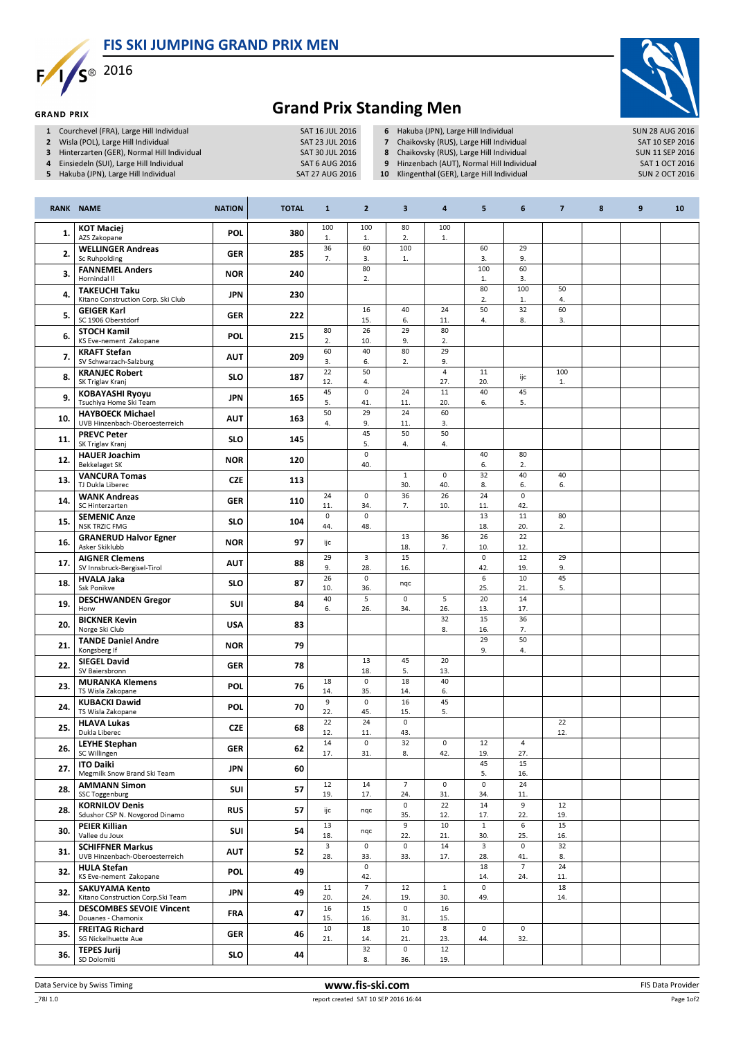FIS SKI JUMPING GRAND PRIX MEN



**GRAND PRIX** 



## Grand Prix Standing Men

- 
- 1 Courchevel (FRA), Large Hill Individual SAT 16 JUL 2016<br>2 Wisla (POL), Large Hill Individual SAT 23 JUL 2016 2 Wisla (POL), Large Hill Individual SAT 23 JUL 2016<br>3 Hinterzarten (GER), Normal Hill Individual SAT 30 JUL 2016
- 3 Hinterzarten (GER), Normal Hill Individual SAT 30 JUL 2016<br>4 Einsiedeln (SUI), Large Hill Individual SAT 6 AUG 2016
- 4 Einsiedeln (SUI), Large Hill Individual
- 5 Hakuba (JPN), Large Hill Individual SAT 27 AUG 2016
- 6 Hakuba (JPN), Large Hill Individual SUN 28 AUG 2016<br>
7 Chaikovsky (RUS), Large Hill Individual SAT 10 SEP 2016
- 7 Chaikovsky (RUS), Large Hill Individual SAT 10 SEP 2016<br>
8 Chaikovsky (RUS), Large Hill Individual SUN 11 SEP 2016
- 8 Chaikovsky (RUS), Large Hill Individual SUN 11 SEP 2016<br>19 Hinzenbach (AUT), Normal Hill Individual SAT 1 OCT 2016
- 9 Hinzenbach (AUT), Normal Hill Individual SAT 1 OCT 2016<br>10 Klingenthal (GER), Large Hill Individual SUN 2 OCT 2016
- 10 Klingenthal  $(GER)$ , Large Hill Individual

|     | <b>RANK NAME</b>                                           | <b>NATION</b> | <b>TOTAL</b> | $\mathbf{1}$       | $\overline{2}$        | 3                          | $\pmb{4}$                  | 5                     | 6                                | $\overline{7}$ | 8 | 9 | 10 |
|-----|------------------------------------------------------------|---------------|--------------|--------------------|-----------------------|----------------------------|----------------------------|-----------------------|----------------------------------|----------------|---|---|----|
| 1.  | <b>KOT Maciej</b><br>AZS Zakopane                          | POL           | 380          | 100<br>1.          | 100<br>1.             | 80<br>2.                   | 100<br>1.                  |                       |                                  |                |   |   |    |
| 2.  | <b>WELLINGER Andreas</b><br>Sc Ruhpolding                  | <b>GER</b>    | 285          | 36<br>7.           | 60<br>3.              | 100<br>1.                  |                            | 60<br>3.              | 29<br>9.                         |                |   |   |    |
| 3.  | <b>FANNEMEL Anders</b><br>Hornindal II                     | <b>NOR</b>    | 240          |                    | 80<br>2.              |                            |                            | 100<br>$\mathbf{1}$ . | 60<br>3.                         |                |   |   |    |
| 4.  | <b>TAKEUCHI Taku</b><br>Kitano Construction Corp. Ski Club | <b>JPN</b>    | 230          |                    |                       |                            |                            | 80<br>2.              | 100<br>$1.$                      | 50<br>4.       |   |   |    |
| 5.  | <b>GEIGER Karl</b><br>SC 1906 Oberstdorf                   | <b>GER</b>    | 222          |                    | 16<br>15.             | 40<br>6.                   | 24<br>11.                  | 50<br>4.              | 32<br>8.                         | 60<br>3.       |   |   |    |
| 6.  | <b>STOCH Kamil</b><br>KS Eve-nement Zakopane               | POL           | 215          | 80<br>2.           | 26<br>10.             | 29<br>9.                   | 80<br>2.                   |                       |                                  |                |   |   |    |
| 7.  | <b>KRAFT Stefan</b><br>SV Schwarzach-Salzburg              | <b>AUT</b>    | 209          | 60<br>3.           | 40<br>6.              | 80<br>2.                   | 29<br>9.                   |                       |                                  |                |   |   |    |
| 8.  | <b>KRANJEC Robert</b><br>SK Triglav Kranj                  | <b>SLO</b>    | 187          | 22<br>12.          | 50<br>4.              |                            | $\overline{4}$<br>27.      | 11<br>20.             | ijc                              | 100<br>$1.$    |   |   |    |
| 9.  | <b>KOBAYASHI Ryoyu</b><br>Tsuchiya Home Ski Team           | <b>JPN</b>    | 165          | 45<br>5.           | $\mathbf 0$<br>41.    | 24<br>11.                  | 11<br>20.                  | 40<br>6.              | 45<br>5.                         |                |   |   |    |
| 10. | <b>HAYBOECK Michael</b><br>UVB Hinzenbach-Oberoesterreich  | <b>AUT</b>    | 163          | 50<br>4.           | 29<br>9.              | 24<br>11.                  | 60<br>3.                   |                       |                                  |                |   |   |    |
| 11. | <b>PREVC Peter</b><br>SK Triglav Kranj                     | <b>SLO</b>    | 145          |                    | 45<br>5.              | 50<br>4.                   | 50<br>4.                   |                       |                                  |                |   |   |    |
| 12. | <b>HAUER Joachim</b><br><b>Bekkelaget SK</b>               | <b>NOR</b>    | 120          |                    | $\mathsf 0$<br>40.    |                            |                            | 40<br>6.              | 80<br>2.                         |                |   |   |    |
| 13. | <b>VANCURA Tomas</b><br>TJ Dukla Liberec                   | <b>CZE</b>    | 113          |                    |                       | $\mathbf{1}$<br>30.        | $\circ$<br>40.             | 32<br>8.              | 40<br>6.                         | 40<br>6.       |   |   |    |
| 14. | <b>WANK Andreas</b><br>SC Hinterzarten                     | <b>GER</b>    | 110          | 24<br>11.          | $\circ$<br>34.        | $\overline{36}$<br>7.      | 26<br>10.                  | 24<br>11.             | $\overline{\mathfrak{o}}$<br>42. |                |   |   |    |
| 15. | <b>SEMENIC Anze</b><br><b>NSK TRZIC FMG</b>                | <b>SLO</b>    | 104          | $\mathbf 0$<br>44. | 0<br>48.              |                            |                            | 13<br>18.             | $11\,$<br>20.                    | 80<br>2.       |   |   |    |
| 16. | <b>GRANERUD Halvor Egner</b><br>Asker Skiklubb             | <b>NOR</b>    | 97           | ijc                |                       | 13<br>18.                  | 36<br>7.                   | 26<br>10.             | 22<br>12.                        |                |   |   |    |
| 17. | <b>AIGNER Clemens</b><br>SV Innsbruck-Bergisel-Tirol       | <b>AUT</b>    | 88           | 29<br>9.           | 3<br>28.              | 15<br>16.                  |                            | $\pmb{0}$<br>42.      | 12<br>19.                        | 29<br>9.       |   |   |    |
| 18. | <b>HVALA Jaka</b><br><b>Ssk Ponikve</b>                    | <b>SLO</b>    | 87           | 26<br>10.          | $\mathbf 0$<br>36.    | nqc                        |                            | 6<br>25.              | 10<br>21.                        | 45<br>5.       |   |   |    |
| 19. | <b>DESCHWANDEN Gregor</b><br>Horw                          | SUI           | 84           | 40<br>6.           | 5<br>26.              | $\mathsf 0$<br>34.         | 5<br>26.                   | 20<br>13.             | 14<br>17.                        |                |   |   |    |
| 20. | <b>BICKNER Kevin</b><br>Norge Ski Club                     | <b>USA</b>    | 83           |                    |                       |                            | 32<br>8.                   | 15<br>16.             | 36<br>7.                         |                |   |   |    |
| 21. | <b>TANDE Daniel Andre</b><br>Kongsberg If                  | <b>NOR</b>    | 79           |                    |                       |                            |                            | 29<br>9.              | 50<br>4.                         |                |   |   |    |
| 22. | <b>SIEGEL David</b><br>SV Baiersbronn                      | <b>GER</b>    | 78           |                    | 13<br>18.             | 45<br>5.                   | 20<br>13.                  |                       |                                  |                |   |   |    |
| 23. | <b>MURANKA Klemens</b><br>TS Wisla Zakopane                | <b>POL</b>    | 76           | 18<br>14.          | $\mathsf 0$<br>35.    | 18<br>14.                  | 40<br>6.                   |                       |                                  |                |   |   |    |
| 24. | <b>KUBACKI Dawid</b><br>TS Wisla Zakopane                  | <b>POL</b>    | 70           | 9<br>22.           | 0<br>45.              | 16<br>15.                  | 45<br>5.                   |                       |                                  |                |   |   |    |
| 25. | <b>HLAVA Lukas</b><br>Dukla Liberec                        | <b>CZE</b>    | 68           | 22<br>12.          | 24<br>11.             | 0<br>43.                   |                            |                       |                                  | 22<br>12.      |   |   |    |
| 26. | <b>LEYHE Stephan</b><br>SC Willingen                       | GER           | 62           | 14<br>17.          | $\mathbf 0$<br>31.    | 32<br>8.                   | $\mathsf{O}\xspace$<br>42. | 12<br>19.             | 4<br>27.                         |                |   |   |    |
| 27. | <b>ITO Daiki</b><br>Megmilk Snow Brand Ski Team            | <b>JPN</b>    | 60           |                    |                       |                            |                            | 45<br>5.              | 15<br>16.                        |                |   |   |    |
| 28. | <b>AMMANN Simon</b><br>SSC Toggenburg                      | SUI           | 57           | 12<br>19.          | 14<br>17.             | $\overline{7}$<br>24.      | $\mathsf{O}\xspace$<br>31. | $\mathsf 0$<br>34.    | 24<br>11.                        |                |   |   |    |
| 28. | <b>KORNILOV Denis</b><br>Sdushor CSP N. Novgorod Dinamo    | <b>RUS</b>    | 57           | ijc                | nqc                   | $\mathsf{O}\xspace$<br>35. | 22<br>12.                  | 14<br>17.             | 9<br>22.                         | 12<br>19.      |   |   |    |
| 30. | <b>PEIER Killian</b><br>Vallee du Joux                     | <b>SUI</b>    | 54           | 13<br>18.          | nqc                   | 9<br>22.                   | 10<br>21.                  | $\mathbf{1}$<br>30.   | 6<br>25.                         | 15<br>16.      |   |   |    |
| 31. | <b>SCHIFFNER Markus</b><br>UVB Hinzenbach-Oberoesterreich  | <b>AUT</b>    | 52           | 3<br>28.           | 0<br>33.              | 0<br>33.                   | 14<br>17.                  | 3<br>28.              | 0<br>41.                         | 32<br>8.       |   |   |    |
| 32. | <b>HULA Stefan</b><br>KS Eve-nement Zakopane               | POL           | 49           |                    | 0<br>42.              |                            |                            | 18<br>14.             | $\overline{7}$<br>24.            | 24<br>11.      |   |   |    |
| 32. | <b>SAKUYAMA Kento</b><br>Kitano Construction Corp.Ski Team | JPN           | 49           | 11<br>20.          | $\overline{7}$<br>24. | 12<br>19.                  | $\mathbf{1}$<br>30.        | 0<br>49.              |                                  | 18<br>14.      |   |   |    |
| 34. | <b>DESCOMBES SEVOIE Vincent</b><br>Douanes - Chamonix      | <b>FRA</b>    | 47           | 16<br>15.          | 15<br>16.             | $\mathsf{O}\xspace$<br>31. | 16<br>15.                  |                       |                                  |                |   |   |    |
| 35. | <b>FREITAG Richard</b><br>SG Nickelhuette Aue              | <b>GER</b>    | 46           | $10\,$<br>21.      | 18<br>14.             | 10<br>21.                  | 8<br>23.                   | $\mathsf 0$<br>44.    | $\mathsf{O}\xspace$<br>32.       |                |   |   |    |
| 36. | <b>TEPES Jurij</b><br>SD Dolomiti                          | <b>SLO</b>    | 44           |                    | 32<br>8.              | 0<br>36.                   | 12<br>19.                  |                       |                                  |                |   |   |    |